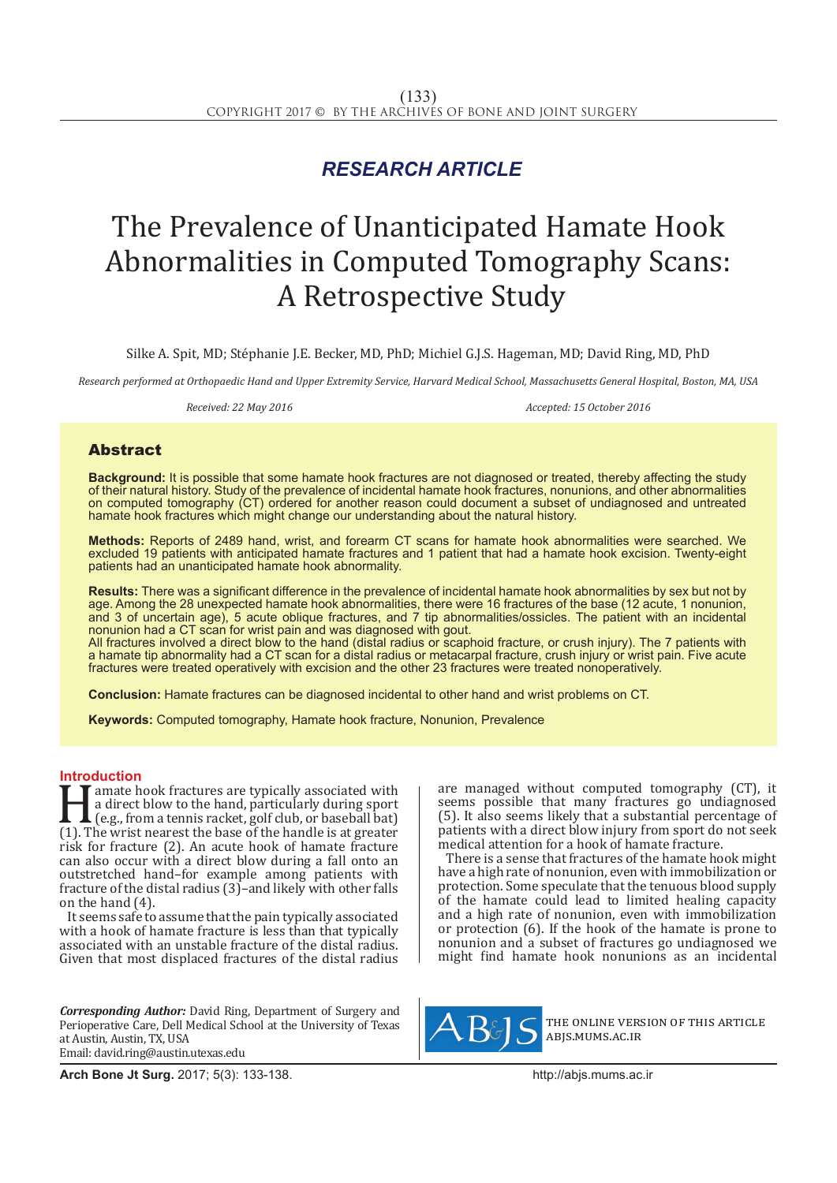## *RESEARCH ARTICLE*

# The Prevalence of Unanticipated Hamate Hook Abnormalities in Computed Tomography Scans: A Retrospective Study

Silke A. Spit, MD; Stéphanie J.E. Becker, MD, PhD; Michiel G.J.S. Hageman, MD; David Ring, MD, PhD

*Research performed at Orthopaedic Hand and Upper Extremity Service, Harvard Medical School, Massachusetts General Hospital, Boston, MA, USA*

Received: 22 May 2016 **Accepted: 15 October 2016** *Accepted: 15 October 2016* 

### Abstract

**Background:** It is possible that some hamate hook fractures are not diagnosed or treated, thereby affecting the study of their natural history. Study of the prevalence of incidental hamate hook fractures, nonunions, and other abnormalities on computed tomography (CT) ordered for another reason could document a subset of undiagnosed and untreated hamate hook fractures which might change our understanding about the natural history.

**Methods:** Reports of 2489 hand, wrist, and forearm CT scans for hamate hook abnormalities were searched. We excluded 19 patients with anticipated hamate fractures and 1 patient that had a hamate hook excision. Twenty-eight patients had an unanticipated hamate hook abnormality.

**Results:** There was a significant difference in the prevalence of incidental hamate hook abnormalities by sex but not by age. Among the 28 unexpected hamate hook abnormalities, there were 16 fractures of the base (12 acute, 1 nonunion, and 3 of uncertain age), 5 acute oblique fractures, and 7 tip abnormalities/ossicles. The patient with an incidental nonunion had a CT scan for wrist pain and was diagnosed with gout.

All fractures involved a direct blow to the hand (distal radius or scaphoid fracture, or crush injury). The 7 patients with a hamate tip abnormality had a CT scan for a distal radius or metacarpal fracture, crush injury or wrist pain. Five acute fractures were treated operatively with excision and the other 23 fractures were treated nonoperatively.

**Conclusion:** Hamate fractures can be diagnosed incidental to other hand and wrist problems on CT.

**Keywords:** Computed tomography, Hamate hook fracture, Nonunion, Prevalence

**Introduction**<br>**T** T amate hook fractures are typically associated with amate hook fractures are typically associated with<br>
a direct blow to the hand, particularly during sport<br>
(e.g., from a tennis racket, golf club, or baseball bat)<br>
(1). The wrist nearest the base of the handle is at greate a direct blow to the hand, particularly during sport (e.g., from a tennis racket, golf club, or baseball bat) risk for fracture (2). An acute hook of hamate fracture can also occur with a direct blow during a fall onto an outstretched hand–for example among patients with fracture of the distal radius (3)–and likely with other falls on the hand (4).

It seems safe to assume that the pain typically associated with a hook of hamate fracture is less than that typically associated with an unstable fracture of the distal radius. Given that most displaced fractures of the distal radius

*Corresponding Author:* David Ring, Department of Surgery and Perioperative Care, Dell Medical School at the University of Texas at Austin, Austin, TX, USA Email: david.ring@austin.utexas.edu

are managed without computed tomography (CT), it seems possible that many fractures go undiagnosed (5). It also seems likely that a substantial percentage of patients with a direct blow injury from sport do not seek medical attention for a hook of hamate fracture.

There is a sense that fractures of the hamate hook might have a high rate of nonunion, even with immobilization or protection. Some speculate that the tenuous blood supply of the hamate could lead to limited healing capacity and a high rate of nonunion, even with immobilization or protection (6). If the hook of the hamate is prone to nonunion and a subset of fractures go undiagnosed we might find hamate hook nonunions as an incidental



the online version of this article abjs.mums.ac.ir

**Arch Bone Jt Surg.** 2017; 5(3): 133-138.http://abjs.mums.ac.ir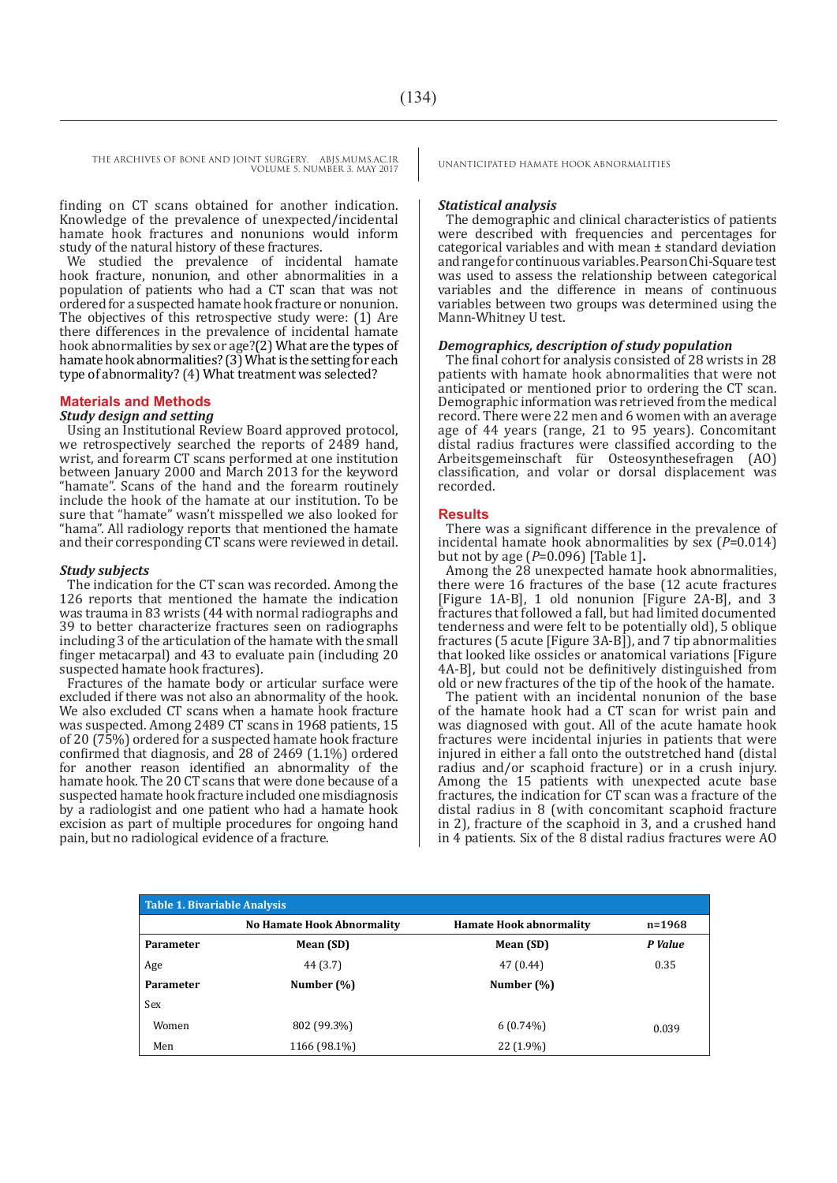THE ARCHIVES OF BONE AND JOINT SURGERY. ABJS.MUMS.AC.IR UNANTICIPATED HAMATE HOOK ABNORMALITIES VOLUME 5. NUMBER 3. MAY 2017

finding on CT scans obtained for another indication. Knowledge of the prevalence of unexpected/incidental hamate hook fractures and nonunions would inform study of the natural history of these fractures.

We studied the prevalence of incidental hamate hook fracture, nonunion, and other abnormalities in a population of patients who had a CT scan that was not ordered for a suspected hamate hook fracture or nonunion. The objectives of this retrospective study were: (1) Are there differences in the prevalence of incidental hamate hook abnormalities by sex or age?(2) What are the types of hamate hook abnormalities? (3) What is the setting for each type of abnormality? (4) What treatment was selected?

#### **Materials and Methods**

#### *Study design and setting*

Using an Institutional Review Board approved protocol, we retrospectively searched the reports of 2489 hand, wrist, and forearm CT scans performed at one institution between January 2000 and March 2013 for the keyword "hamate". Scans of the hand and the forearm routinely include the hook of the hamate at our institution. To be sure that "hamate" wasn't misspelled we also looked for "hama". All radiology reports that mentioned the hamate and their corresponding CT scans were reviewed in detail.

#### *Study subjects*

The indication for the CT scan was recorded. Among the 126 reports that mentioned the hamate the indication was trauma in 83 wrists (44 with normal radiographs and 39 to better characterize fractures seen on radiographs including 3 of the articulation of the hamate with the small finger metacarpal) and 43 to evaluate pain (including 20 suspected hamate hook fractures).

Fractures of the hamate body or articular surface were excluded if there was not also an abnormality of the hook. We also excluded CT scans when a hamate hook fracture was suspected. Among 2489 CT scans in 1968 patients, 15 of 20 (75%) ordered for a suspected hamate hook fracture confirmed that diagnosis, and 28 of 2469 (1.1%) ordered for another reason identified an abnormality of the hamate hook. The 20 CT scans that were done because of a suspected hamate hook fracture included one misdiagnosis by a radiologist and one patient who had a hamate hook excision as part of multiple procedures for ongoing hand pain, but no radiological evidence of a fracture.

#### *Statistical analysis*

The demographic and clinical characteristics of patients were described with frequencies and percentages for categorical variables and with mean ± standard deviation and range for continuous variables. Pearson Chi-Square test was used to assess the relationship between categorical variables and the difference in means of continuous variables between two groups was determined using the Mann-Whitney U test.

#### *Demographics, description of study population*

The final cohort for analysis consisted of 28 wrists in 28 patients with hamate hook abnormalities that were not anticipated or mentioned prior to ordering the CT scan. Demographic information was retrieved from the medical record. There were 22 men and 6 women with an average age of 44 years (range, 21 to 95 years). Concomitant distal radius fractures were classified according to the Arbeitsgemeinschaft für Osteosynthesefragen (AO) classification, and volar or dorsal displacement was recorded.

#### **Results**

There was a significant difference in the prevalence of incidental hamate hook abnormalities by sex  $(P=0.014)$  but not by age  $(P=0.096)$  [Table 1].

Among the 28 unexpected hamate hook abnormalities, there were 16 fractures of the base (12 acute fractures [Figure 1A-B], 1 old nonunion [Figure 2A-B], and 3 fractures that followed a fall, but had limited documented tenderness and were felt to be potentially old), 5 oblique fractures (5 acute [Figure 3A-B]), and 7 tip abnormalities that looked like ossicles or anatomical variations [Figure 4A-B], but could not be definitively distinguished from old or new fractures of the tip of the hook of the hamate.

The patient with an incidental nonunion of the base of the hamate hook had a CT scan for wrist pain and was diagnosed with gout. All of the acute hamate hook fractures were incidental injuries in patients that were injured in either a fall onto the outstretched hand (distal radius and/or scaphoid fracture) or in a crush injury. Among the 15 patients with unexpected acute base fractures, the indication for CT scan was a fracture of the distal radius in 8 (with concomitant scaphoid fracture in 2), fracture of the scaphoid in 3, and a crushed hand in 4 patients. Six of the 8 distal radius fractures were AO

| <b>Table 1. Bivariable Analysis</b> |                                   |                                |            |
|-------------------------------------|-----------------------------------|--------------------------------|------------|
|                                     | <b>No Hamate Hook Abnormality</b> | <b>Hamate Hook abnormality</b> | $n = 1968$ |
| <b>Parameter</b>                    | Mean (SD)                         | Mean (SD)                      | P Value    |
| Age                                 | 44 (3.7)                          | 47 (0.44)                      | 0.35       |
| Parameter                           | Number (%)                        | Number $(\%)$                  |            |
| Sex                                 |                                   |                                |            |
| Women                               | 802 (99.3%)                       | $6(0.74\%)$                    | 0.039      |
| Men                                 | 1166 (98.1%)                      | 22 (1.9%)                      |            |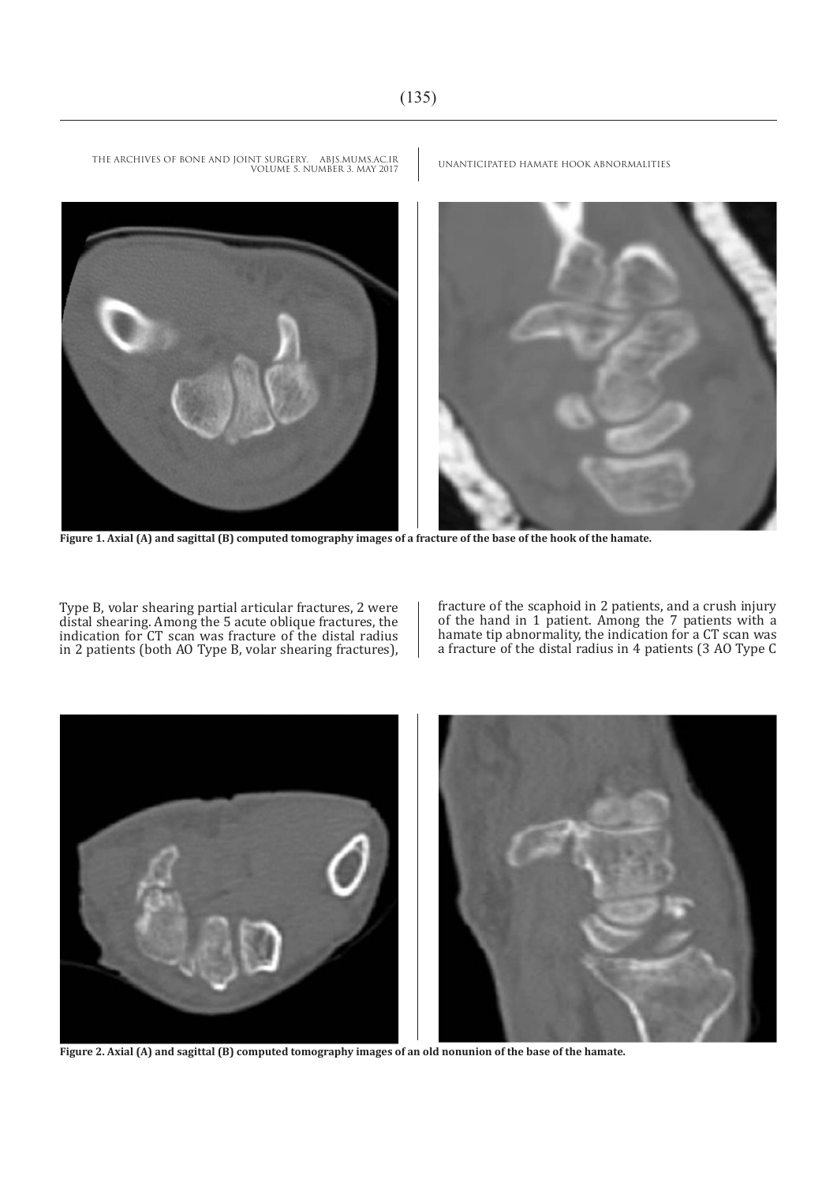

**Figure 1. Axial (A) and sagittal (B) computed tomography images of a fracture of the base of the hook of the hamate.**

Type B, volar shearing partial articular fractures, 2 were distal shearing. Among the 5 acute oblique fractures, the indication for CT scan was fracture of the distal radius in 2 patients (both AO Type B, volar shearing fractures), fracture of the scaphoid in 2 patients, and a crush injury of the hand in 1 patient. Among the 7 patients with a hamate tip abnormality, the indication for a CT scan was a fracture of the distal radius in 4 patients (3 AO Type C



**Figure 2. Axial (A) and sagittal (B) computed tomography images of an old nonunion of the base of the hamate.**

UNANTICIPATED HAMATE HOOK ABNORMALITIES THE ARCHIVES OF BONE AND JOINT SURGERY. ABJS.MUMS.AC.IR VOLUME 5. NUMBER 3. MAY 2017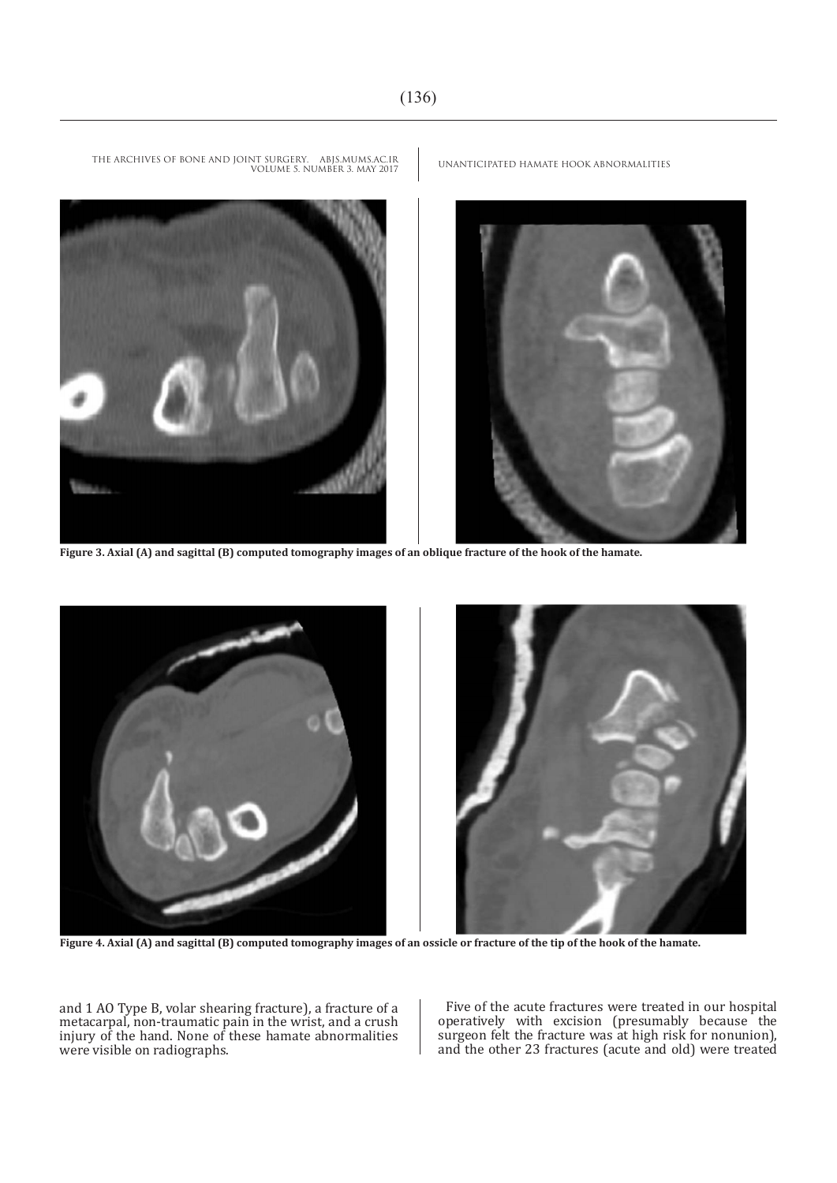

**Figure 3. Axial (A) and sagittal (B) computed tomography images of an oblique fracture of the hook of the hamate.**



**Figure 4. Axial (A) and sagittal (B) computed tomography images of an ossicle or fracture of the tip of the hook of the hamate.**

and 1 AO Type B, volar shearing fracture), a fracture of a metacarpal, non-traumatic pain in the wrist, and a crush injury of the hand. None of these hamate abnormalities were visible on radiographs.

Five of the acute fractures were treated in our hospital operatively with excision (presumably because the surgeon felt the fracture was at high risk for nonunion), and the other 23 fractures (acute and old) were treated

UNANTICIPATED HAMATE HOOK ABNORMALITIES THE ARCHIVES OF BONE AND JOINT SURGERY. ABJS.MUMS.AC.IR VOLUME 5. NUMBER 3. MAY 2017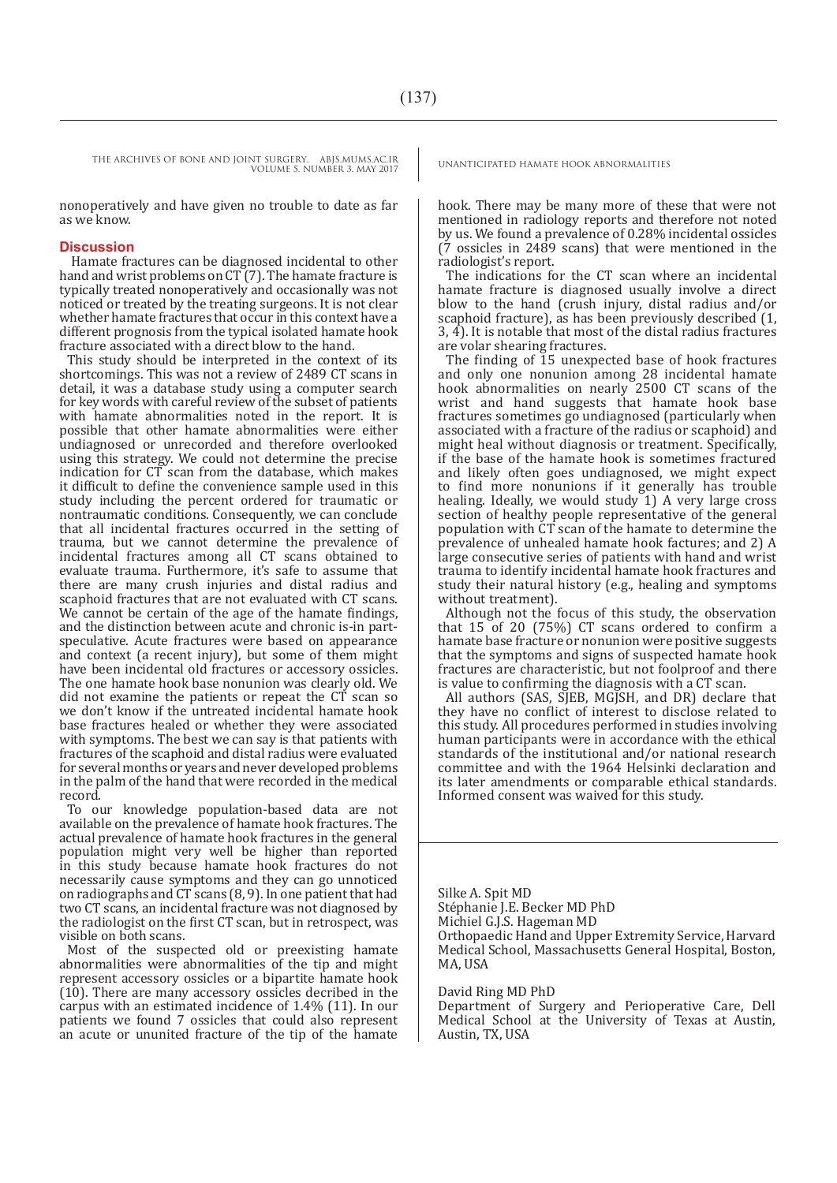THE ARCHIVES OF BONE AND JOINT SURGERY. ABJS.MUMS.AC.IR UNANTICIPATED HAMATE HOOK ABNORMALITIES VOLUME 5. NUMBER 3. MAY 2017

nonoperatively and have given no trouble to date as far as we know.

#### **Discussion**

 Hamate fractures can be diagnosed incidental to other hand and wrist problems on  $CT(7)$ . The hamate fracture is typically treated nonoperatively and occasionally was not noticed or treated by the treating surgeons. It is not clear whether hamate fractures that occur in this context have a different prognosis from the typical isolated hamate hook fracture associated with a direct blow to the hand.

This study should be interpreted in the context of its shortcomings. This was not a review of 2489 CT scans in detail, it was a database study using a computer search for key words with careful review of the subset of patients with hamate abnormalities noted in the report. It is possible that other hamate abnormalities were either undiagnosed or unrecorded and therefore overlooked using this strategy. We could not determine the precise indication for CT scan from the database, which makes it difficult to define the convenience sample used in this study including the percent ordered for traumatic or nontraumatic conditions. Consequently, we can conclude that all incidental fractures occurred in the setting of trauma, but we cannot determine the prevalence of incidental fractures among all CT scans obtained to evaluate trauma. Furthermore, it's safe to assume that there are many crush injuries and distal radius and scaphoid fractures that are not evaluated with CT scans. We cannot be certain of the age of the hamate findings, and the distinction between acute and chronic is-in partspeculative. Acute fractures were based on appearance and context (a recent injury), but some of them might have been incidental old fractures or accessory ossicles. The one hamate hook base nonunion was clearly old. We did not examine the patients or repeat the CT scan so we don't know if the untreated incidental hamate hook base fractures healed or whether they were associated with symptoms. The best we can say is that patients with fractures of the scaphoid and distal radius were evaluated for several months or years and never developed problems in the palm of the hand that were recorded in the medical record.

To our knowledge population-based data are not available on the prevalence of hamate hook fractures. The actual prevalence of hamate hook fractures in the general population might very well be higher than reported in this study because hamate hook fractures do not necessarily cause symptoms and they can go unnoticed on radiographs and CT scans (8, 9). In one patient that had two CT scans, an incidental fracture was not diagnosed by the radiologist on the first CT scan, but in retrospect, was visible on both scans.

Most of the suspected old or preexisting hamate abnormalities were abnormalities of the tip and might represent accessory ossicles or a bipartite hamate hook (10). There are many accessory ossicles decribed in the carpus with an estimated incidence of 1.4% (11). In our patients we found 7 ossicles that could also represent an acute or ununited fracture of the tip of the hamate

hook. There may be many more of these that were not mentioned in radiology reports and therefore not noted by us. We found a prevalence of 0.28% incidental ossicles (7 ossicles in 2489 scans) that were mentioned in the radiologist's report.

The indications for the CT scan where an incidental hamate fracture is diagnosed usually involve a direct blow to the hand (crush injury, distal radius and/or scaphoid fracture), as has been previously described (1, 3, 4). It is notable that most of the distal radius fractures are volar shearing fractures.

The finding of 15 unexpected base of hook fractures and only one nonunion among 28 incidental hamate hook abnormalities on nearly 2500 CT scans of the wrist and hand suggests that hamate hook base fractures sometimes go undiagnosed (particularly when associated with a fracture of the radius or scaphoid) and might heal without diagnosis or treatment. Specifically, if the base of the hamate hook is sometimes fractured and likely often goes undiagnosed, we might expect to find more nonunions if it generally has trouble healing. Ideally, we would study 1) A very large cross section of healthy people representative of the general population with CT scan of the hamate to determine the prevalence of unhealed hamate hook factures; and 2) A large consecutive series of patients with hand and wrist trauma to identify incidental hamate hook fractures and study their natural history (e.g., healing and symptoms without treatment).

Although not the focus of this study, the observation that 15 of 20 (75%) CT scans ordered to confirm a hamate base fracture or nonunion were positive suggests that the symptoms and signs of suspected hamate hook fractures are characteristic, but not foolproof and there is value to confirming the diagnosis with a CT scan.

All authors (SAS, SJEB, MGJSH, and DR) declare that they have no conflict of interest to disclose related to this study. All procedures performed in studies involving human participants were in accordance with the ethical standards of the institutional and/or national research committee and with the 1964 Helsinki declaration and its later amendments or comparable ethical standards. Informed consent was waived for this study.

Silke A. Spit MD Stéphanie J.E. Becker MD PhD Michiel G.J.S. Hageman MD Orthopaedic Hand and Upper Extremity Service, Harvard Medical School, Massachusetts General Hospital, Boston, MA, USA

David Ring MD PhD

Department of Surgery and Perioperative Care, Dell Medical School at the University of Texas at Austin, Austin, TX, USA